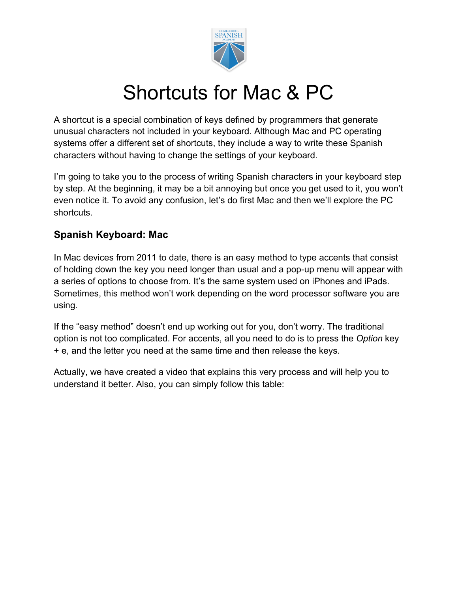

# Shortcuts for Mac & PC

A shortcut is a special combination of keys defined by programmers that generate unusual characters not included in your keyboard. Although Mac and PC operating systems offer a different set of shortcuts, they include a way to write these Spanish characters without having to change the settings of your keyboard.

I'm going to take you to the process of writing Spanish characters in your keyboard step by step. At the beginning, it may be a bit annoying but once you get used to it, you won't even notice it. To avoid any confusion, let's do first Mac and then we'll explore the PC shortcuts.

#### **Spanish Keyboard: Mac**

In Mac devices from 2011 to date, there is an easy method to type accents that consist of holding down the key you need longer than usual and a [pop-up menu](https://www.thoughtco.com/spanish-accents-and-punctuation-with-a-mac-3080299) will appear with a series of options to choose from. It's the same system used on iPhones and iPads. Sometimes, this method won't work depending on the word processor software you are using.

If the "easy method" doesn't end up working out for you, don't worry. The traditional option is not too complicated. For accents, all you need to do is to press the *Option* key + e, and the letter you need at the same time and then release the keys.

Actually, we have created a video that explains this very process and will help you to understand it better. Also, you can simply follow this table: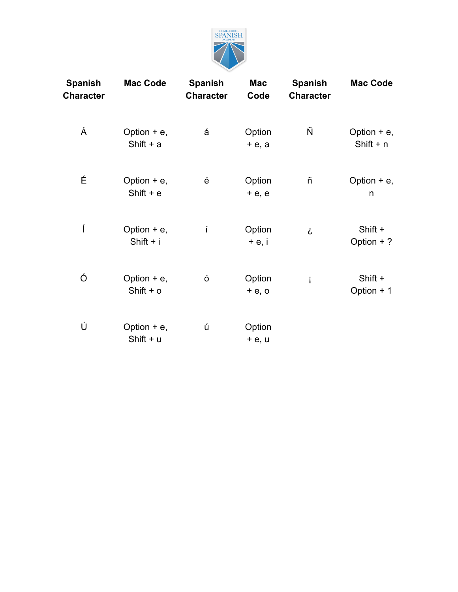

| <b>Spanish</b><br>Character | <b>Mac Code</b>              | <b>Spanish</b><br><b>Character</b> | <b>Mac</b><br>Code | <b>Spanish</b><br><b>Character</b> | <b>Mac Code</b>              |
|-----------------------------|------------------------------|------------------------------------|--------------------|------------------------------------|------------------------------|
| Á                           | Option $+e$ ,<br>Shift $+ a$ | á                                  | Option<br>$+e$ , a | Ñ                                  | Option $+e$ ,<br>Shift $+ n$ |
| É                           | Option $+e$ ,<br>Shift $+e$  | é                                  | Option<br>$+e, e$  | ñ                                  | Option $+e$ ,<br>n           |
| ĺ                           | Option $+e$ ,<br>Shift + i   | í                                  | Option<br>$+e, i$  | i                                  | Shift +<br>Option $+$ ?      |
| Ó                           | Option $+e$ ,<br>Shift $+$ o | Ó                                  | Option<br>$+e$ , o | i                                  | Shift +<br>Option + 1        |
| Ú                           | Option $+e$ ,<br>Shift + u   | ú                                  | Option<br>$+e, u$  |                                    |                              |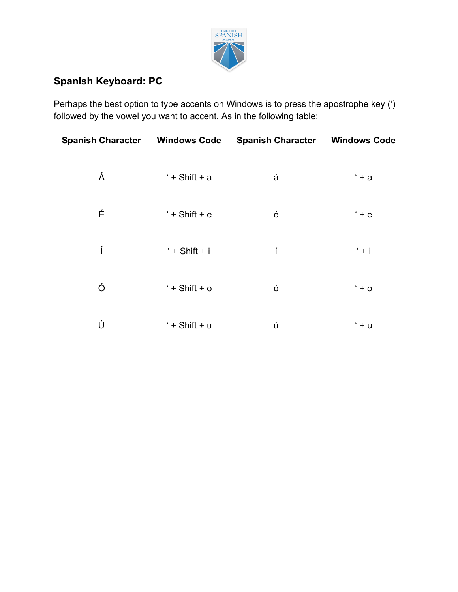

### **Spanish Keyboard: PC**

Perhaps the best option to type accents on Windows is to press the apostrophe key (') followed by the vowel you want to accent. As in the following table:

| <b>Spanish Character Windows Code</b> |                  | <b>Spanish Character Windows Code</b> |         |
|---------------------------------------|------------------|---------------------------------------|---------|
| Á                                     | $'+$ Shift + a   | á                                     | $+a$    |
| É                                     | $'+$ Shift + $e$ | é                                     | $+e$    |
| Í                                     | $'$ + Shift + i  | í                                     | $+ i$   |
| Ó                                     | $'+$ Shift + o   | Ó                                     | $+$ 0   |
| Ú                                     | $'+$ Shift + u   | ú                                     | $' + u$ |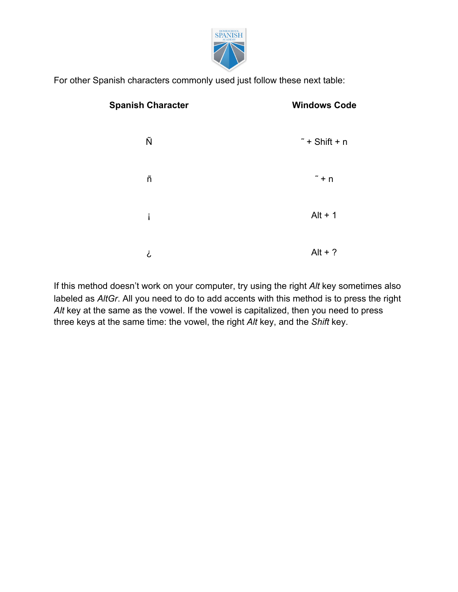

For other Spanish characters commonly used just follow these next table:

| <b>Spanish Character</b> | <b>Windows Code</b>    |
|--------------------------|------------------------|
| Ñ                        | $\tilde{}$ + Shift + n |
| ñ                        | $\tilde{ }$ + n        |
| i                        | $Alt + 1$              |
| Ċ                        | Alt + $?$              |

If this method doesn't work on your computer, try using the [right](https://www.thoughtco.com/spanish-accents-and-punctuation-in-windows-3080315) *[Alt](https://www.thoughtco.com/spanish-accents-and-punctuation-in-windows-3080315)* [key](https://www.thoughtco.com/spanish-accents-and-punctuation-in-windows-3080315) sometimes also labeled as *AltGr*. All you need to do to add accents with this method is to press the right *Alt* key at the same as the vowel. If the vowel is capitalized, then you need to press three keys at the same time: the vowel, the right *Alt* key, and the *Shift* key.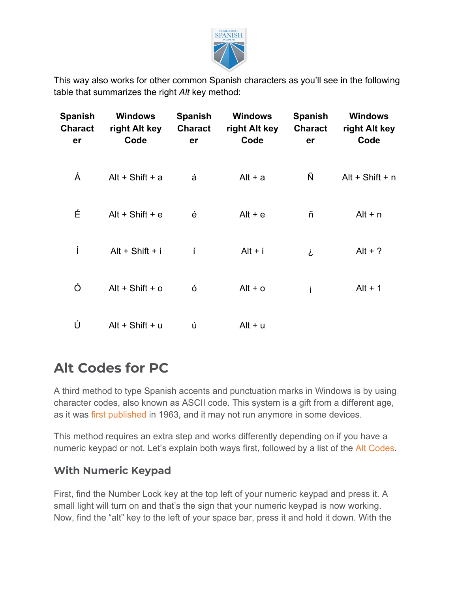

This way also works for other common Spanish characters as you'll see in the following table that summarizes the right *Alt* key method:

| <b>Spanish</b><br><b>Charact</b><br>er | <b>Windows</b><br>right Alt key<br>Code | <b>Spanish</b><br><b>Charact</b><br>er | <b>Windows</b><br>right Alt key<br>Code | <b>Spanish</b><br><b>Charact</b><br>er | <b>Windows</b><br>right Alt key<br>Code |
|----------------------------------------|-----------------------------------------|----------------------------------------|-----------------------------------------|----------------------------------------|-----------------------------------------|
| Á                                      | Alt + Shift + $a$                       | á                                      | $Alt + a$                               | Ñ                                      | $Alt + Shift + n$                       |
| É                                      | $Alt + Shift + e$                       | é                                      | $Alt + e$                               | ñ                                      | $Alt + n$                               |
| ĺ                                      | $Alt + Shift + i$                       | í                                      | $Alt + i$                               | i                                      | $Alt + ?$                               |
| Ó                                      | $Alt + Shift + o$                       | Ó                                      | $Alt + o$                               | i                                      | $Alt + 1$                               |
| Ú                                      | $Alt + Shift + u$                       | ú                                      | Alt + u                                 |                                        |                                         |

## **Alt Codes for PC**

A third method to type Spanish accents and punctuation marks in Windows is by using character codes, also known as ASCII code. This system is a gift from a different age, as it was [first published](http://www.historyofinformation.com/detail.php?id=803) in 1963, and it may not run anymore in some devices.

This method requires an extra step and works differently depending on if you have a numeric keypad or not. Let's explain both ways first, followed by a list of the [Alt Codes](https://www.spanish.academy/blog/spanish-alt-codes/).

### **With Numeric Keypad**

First, find the Number Lock key at the top left of your numeric keypad and press it. A small light will turn on and that's the sign that your numeric keypad is now working. Now, find the "alt" key to the left of your space bar, press it and hold it down. With the